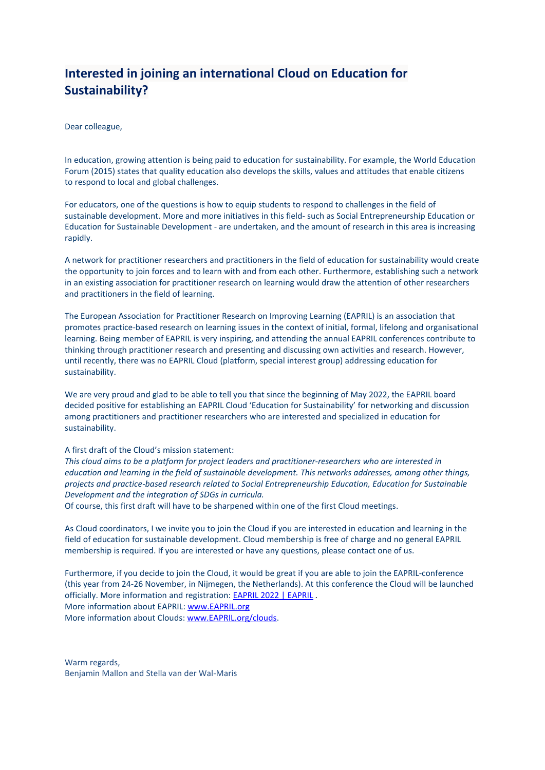# **Interested in joining an international Cloud on Education for Sustainability?**

Dear colleague,

In education, growing attention is being paid to education for sustainability. For example, the World Education Forum (2015) states that quality education also develops the skills, values and attitudes that enable citizens to respond to local and global challenges.

For educators, one of the questions is how to equip students to respond to challenges in the field of sustainable development. More and more initiatives in this field- such as Social Entrepreneurship Education or Education for Sustainable Development - are undertaken, and the amount of research in this area is increasing rapidly.

A network for practitioner researchers and practitioners in the field of education for sustainability would create the opportunity to join forces and to learn with and from each other. Furthermore, establishing such a network in an existing association for practitioner research on learning would draw the attention of other researchers and practitioners in the field of learning.

The European Association for Practitioner Research on Improving Learning (EAPRIL) is an association that promotes practice-based research on learning issues in the context of initial, formal, lifelong and organisational learning. Being member of EAPRIL is very inspiring, and attending the annual EAPRIL conferences contribute to thinking through practitioner research and presenting and discussing own activities and research. However, until recently, there was no EAPRIL Cloud (platform, special interest group) addressing education for sustainability.

We are very proud and glad to be able to tell you that since the beginning of May 2022, the EAPRIL board decided positive for establishing an EAPRIL Cloud 'Education for Sustainability' for networking and discussion among practitioners and practitioner researchers who are interested and specialized in education for sustainability.

#### A first draft of the Cloud's mission statement:

*This cloud aims to be a platform for project leaders and practitioner-researchers who are interested in education and learning in the field of sustainable development. This networks addresses, among other things, projects and practice-based research related to Social Entrepreneurship Education, Education for Sustainable Development and the integration of SDGs in curricula.*

Of course, this first draft will have to be sharpened within one of the first Cloud meetings.

As Cloud coordinators, I we invite you to join the Cloud if you are interested in education and learning in the field of education for sustainable development. Cloud membership is free of charge and no general EAPRIL membership is required. If you are interested or have any questions, please contact one of us.

Furthermore, if you decide to join the Cloud, it would be great if you are able to join the EAPRIL-conference (this year from 24-26 November, in Nijmegen, the Netherlands). At this conference the Cloud will be launched officially. More information and registration: [EAPRIL 2022 | EAPRIL](https://eapril.org/eapril-2022) . More information about EAPRIL: [www.EAPRIL.org](http://www.eapril.org/) More information about Clouds: [www.EAPRIL.org/clouds.](http://www.eapril.org/clouds)

Warm regards, Benjamin Mallon and Stella van der Wal-Maris